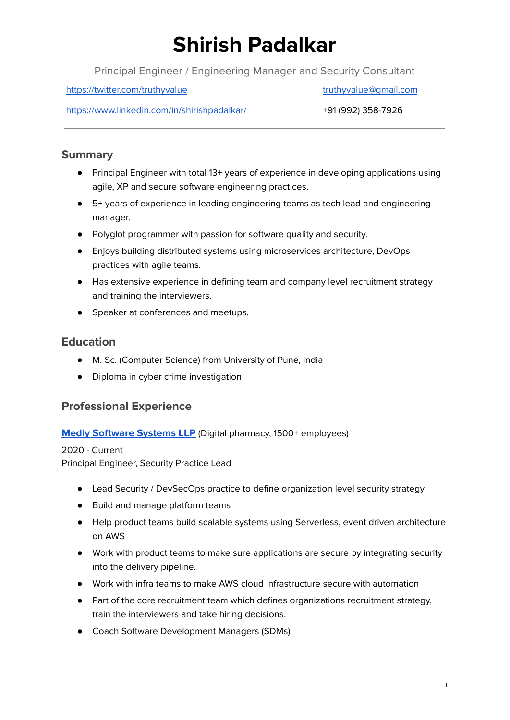# **Shirish Padalkar**

Principal Engineer / Engineering Manager and Security Consultant

<https://twitter.com/truthyvalue>

<https://www.linkedin.com/in/shirishpadalkar/> +91 (992) 358-7926

# **Summary**

- Principal Engineer with total 13+ years of experience in developing applications using agile, XP and secure software engineering practices.
- 5+ years of experience in leading engineering teams as tech lead and engineering manager.
- Polyglot programmer with passion for software quality and security.
- Enjoys building distributed systems using microservices architecture, DevOps practices with agile teams.
- Has extensive experience in defining team and company level recruitment strategy and training the interviewers.
- Speaker at conferences and meetups.

# **Education**

- M. Sc. (Computer Science) from University of Pune, India
- Diploma in cyber crime investigation

# **Professional Experience**

# **Medly [Software](https://medly.com/en-us) Systems LLP** (Digital pharmacy, 1500+ employees)

2020 - Current Principal Engineer, Security Practice Lead

- Lead Security / DevSecOps practice to define organization level security strategy
- Build and manage platform teams
- Help product teams build scalable systems using Serverless, event driven architecture on AWS
- Work with product teams to make sure applications are secure by integrating security into the delivery pipeline.
- Work with infra teams to make AWS cloud infrastructure secure with automation
- Part of the core recruitment team which defines organizations recruitment strategy, train the interviewers and take hiring decisions.
- Coach Software Development Managers (SDMs)